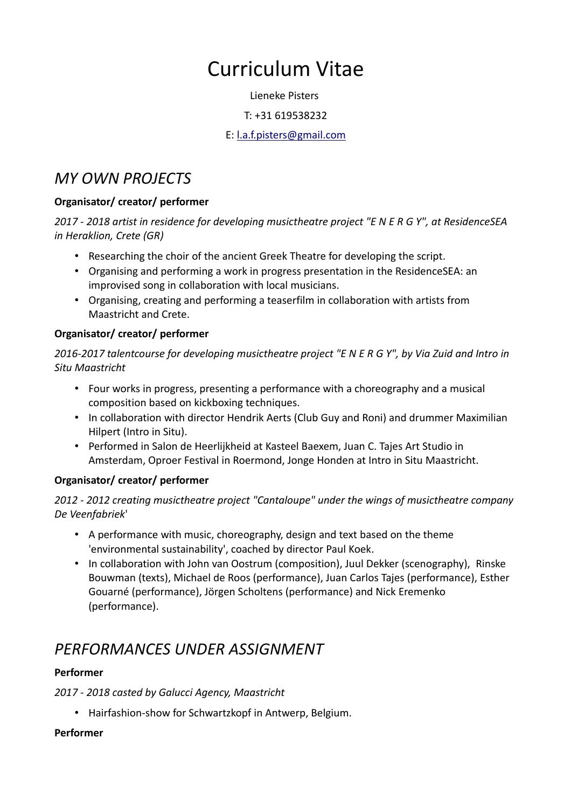# Curriculum Vitae

Lieneke Pisters

#### T: +31 619538232

#### E: [l.a.f.pisters@gmail.com](mailto:l.a.f.pisters@gmail.com)

## *MY OWN PROJECTS*

#### **Organisator/ creator/ performer**

*2017 - 2018 artist in residence for developing musictheatre project "E N E R G Y", at ResidenceSEA in Heraklion, Crete (GR)*

- Researching the choir of the ancient Greek Theatre for developing the script.
- Organising and performing a work in progress presentation in the ResidenceSEA: an improvised song in collaboration with local musicians.
- Organising, creating and performing a teaserfilm in collaboration with artists from Maastricht and Crete.

#### **Organisator/ creator/ performer**

*2016-2017 talentcourse for developing musictheatre project "E N E R G Y", by Via Zuid and Intro in Situ Maastricht*

- Four works in progress, presenting a performance with a choreography and a musical composition based on kickboxing techniques.
- In collaboration with director Hendrik Aerts (Club Guy and Roni) and drummer Maximilian Hilpert (Intro in Situ).
- Performed in Salon de Heerlijkheid at Kasteel Baexem, Juan C. Tajes Art Studio in Amsterdam, Oproer Festival in Roermond, Jonge Honden at Intro in Situ Maastricht.

#### **Organisator/ creator/ performer**

#### *2012 - 2012 creating musictheatre project "Cantaloupe" under the wings of musictheatre company De Veenfabriek*'

- A performance with music, choreography, design and text based on the theme 'environmental sustainability', coached by director Paul Koek.
- In collaboration with John van Oostrum (composition), Juul Dekker (scenography), Rinske Bouwman (texts), Michael de Roos (performance), Juan Carlos Tajes (performance), Esther Gouarné (performance), Jörgen Scholtens (performance) and Nick Eremenko (performance).

# *PERFORMANCES UNDER ASSIGNMENT*

#### **Performer**

*2017 - 2018 casted by Galucci Agency, Maastricht*

• Hairfashion-show for Schwartzkopf in Antwerp, Belgium.

#### **Performer**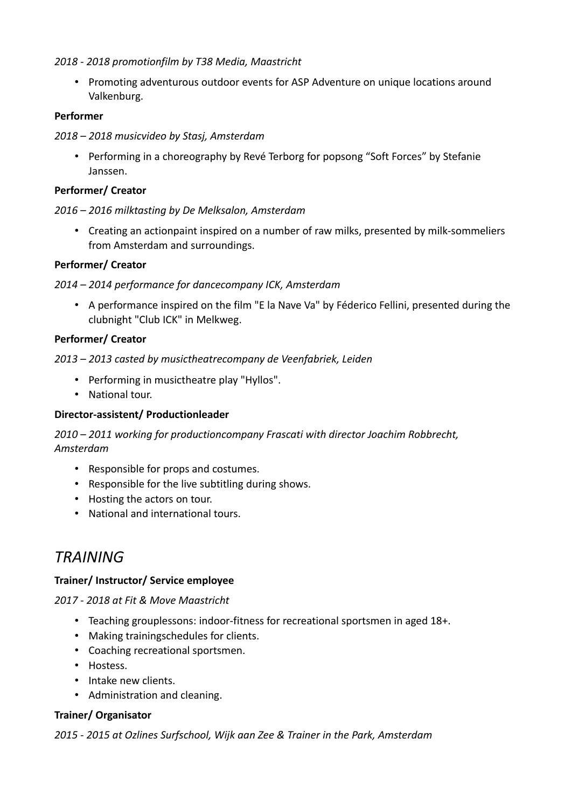#### *2018 - 2018 promotionfilm by T38 Media, Maastricht*

• Promoting adventurous outdoor events for ASP Adventure on unique locations around Valkenburg.

#### **Performer**

#### *2018 – 2018 musicvideo by Stasj, Amsterdam*

• Performing in a choreography by Revé Terborg for popsong "Soft Forces" by Stefanie Janssen.

#### **Performer/ Creator**

#### *2016 – 2016 milktasting by De Melksalon, Amsterdam*

• Creating an actionpaint inspired on a number of raw milks, presented by milk-sommeliers from Amsterdam and surroundings.

#### **Performer/ Creator**

#### *2014 – 2014 performance for dancecompany ICK, Amsterdam*

• A performance inspired on the film "E la Nave Va" by Féderico Fellini, presented during the clubnight "Club ICK" in Melkweg.

#### **Performer/ Creator**

*2013 – 2013 casted by musictheatrecompany de Veenfabriek, Leiden*

- Performing in musictheatre play "Hyllos".
- National tour.

#### **Director-assistent/ Productionleader**

*2010 – 2011 working for productioncompany Frascati with director Joachim Robbrecht, Amsterdam*

- Responsible for props and costumes.
- Responsible for the live subtitling during shows.
- Hosting the actors on tour.
- National and international tours.

### *TRAINING*

#### **Trainer/ Instructor/ Service employee**

*2017 - 2018 at Fit & Move Maastricht*

- Teaching grouplessons: indoor-fitness for recreational sportsmen in aged 18+.
- Making trainingschedules for clients.
- Coaching recreational sportsmen.
- Hostess.
- Intake new clients.
- Administration and cleaning.

#### **Trainer/ Organisator**

*2015 - 2015 at Ozlines Surfschool, Wijk aan Zee & Trainer in the Park, Amsterdam*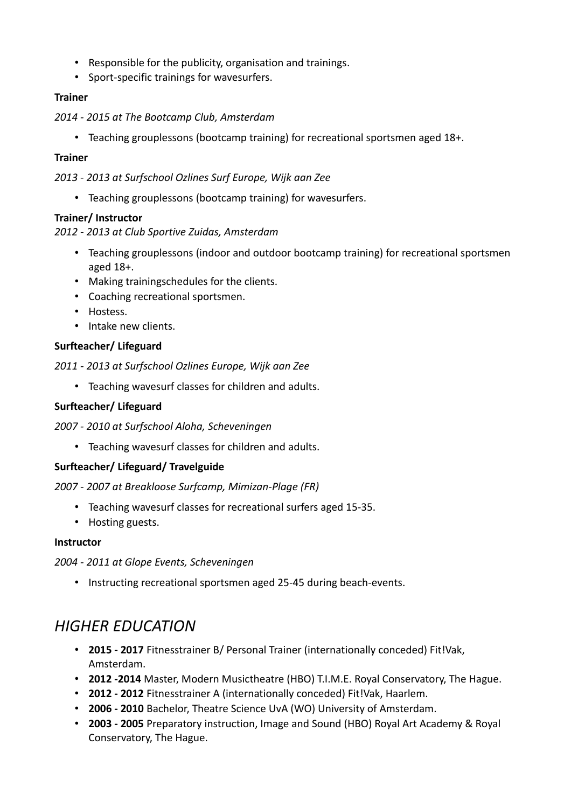- Responsible for the publicity, organisation and trainings.
- Sport-specific trainings for wavesurfers.

#### **Trainer**

- *2014 2015 at The Bootcamp Club, Amsterdam*
	- Teaching grouplessons (bootcamp training) for recreational sportsmen aged 18+.

#### **Trainer**

*2013 - 2013 at Surfschool Ozlines Surf Europe, Wijk aan Zee*

• Teaching grouplessons (bootcamp training) for wavesurfers.

#### **Trainer/ Instructor**

#### *2012 - 2013 at Club Sportive Zuidas, Amsterdam*

- Teaching grouplessons (indoor and outdoor bootcamp training) for recreational sportsmen aged 18+.
- Making trainingschedules for the clients.
- Coaching recreational sportsmen.
- Hostess.
- Intake new clients.

#### **Surfteacher/ Lifeguard**

*2011 - 2013 at Surfschool Ozlines Europe, Wijk aan Zee*

• Teaching wavesurf classes for children and adults.

#### **Surfteacher/ Lifeguard**

*2007 - 2010 at Surfschool Aloha, Scheveningen*

• Teaching wavesurf classes for children and adults.

#### **Surfteacher/ Lifeguard/ Travelguide**

*2007 - 2007 at Breakloose Surfcamp, Mimizan-Plage (FR)*

- Teaching wavesurf classes for recreational surfers aged 15-35.
- Hosting guests.

#### **Instructor**

*2004 - 2011 at Glope Events, Scheveningen*

• Instructing recreational sportsmen aged 25-45 during beach-events.

# *HIGHER EDUCATION*

- **2015 2017** Fitnesstrainer B/ Personal Trainer (internationally conceded) Fit!Vak, Amsterdam.
- **2012 -2014** Master, Modern Musictheatre (HBO) T.I.M.E. Royal Conservatory, The Hague.
- **2012 2012** Fitnesstrainer A (internationally conceded) Fit!Vak, Haarlem.
- **2006 2010** Bachelor, Theatre Science UvA (WO) University of Amsterdam.
- **2003 2005** Preparatory instruction, Image and Sound (HBO) Royal Art Academy & Royal Conservatory, The Hague.